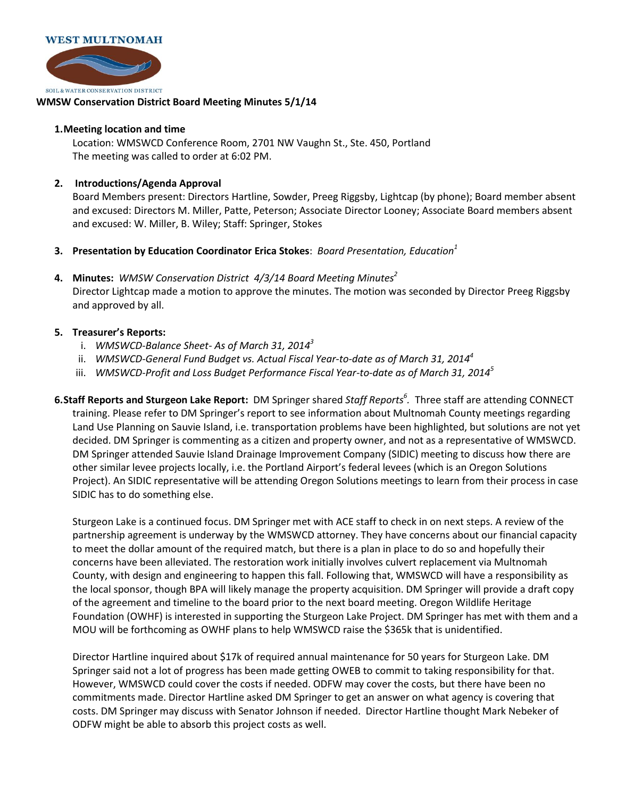

## **WMSW Conservation District Board Meeting Minutes 5/1/14**

## **1.Meeting location and time**

Location: WMSWCD Conference Room, 2701 NW Vaughn St., Ste. 450, Portland The meeting was called to order at 6:02 PM.

## **2. Introductions/Agenda Approval**

Board Members present: Directors Hartline, Sowder, Preeg Riggsby, Lightcap (by phone); Board member absent and excused: Directors M. Miller, Patte, Peterson; Associate Director Looney; Associate Board members absent and excused: W. Miller, B. Wiley; Staff: Springer, Stokes

- **3. Presentation by Education Coordinator Erica Stokes**: *Board Presentation, Education<sup>1</sup>*
- **4. Minutes:** *WMSW Conservation District 4/3/14 Board Meeting Minutes<sup>2</sup>* Director Lightcap made a motion to approve the minutes. The motion was seconded by Director Preeg Riggsby and approved by all.

## **5. Treasurer's Reports:**

- i. *WMSWCD-Balance Sheet- As of March 31, 2014<sup>3</sup>*
- ii. *WMSWCD-General Fund Budget vs. Actual Fiscal Year-to-date as of March 31, 2014<sup>4</sup>*
- iii. *WMSWCD-Profit and Loss Budget Performance Fiscal Year-to-date as of March 31, 2014<sup>5</sup>*
- **6.Staff Reports and Sturgeon Lake Report:** DM Springer shared *Staff Reports<sup>6</sup> .* Three staff are attending CONNECT training. Please refer to DM Springer's report to see information about Multnomah County meetings regarding Land Use Planning on Sauvie Island, i.e. transportation problems have been highlighted, but solutions are not yet decided. DM Springer is commenting as a citizen and property owner, and not as a representative of WMSWCD. DM Springer attended Sauvie Island Drainage Improvement Company (SIDIC) meeting to discuss how there are other similar levee projects locally, i.e. the Portland Airport's federal levees (which is an Oregon Solutions Project). An SIDIC representative will be attending Oregon Solutions meetings to learn from their process in case SIDIC has to do something else.

Sturgeon Lake is a continued focus. DM Springer met with ACE staff to check in on next steps. A review of the partnership agreement is underway by the WMSWCD attorney. They have concerns about our financial capacity to meet the dollar amount of the required match, but there is a plan in place to do so and hopefully their concerns have been alleviated. The restoration work initially involves culvert replacement via Multnomah County, with design and engineering to happen this fall. Following that, WMSWCD will have a responsibility as the local sponsor, though BPA will likely manage the property acquisition. DM Springer will provide a draft copy of the agreement and timeline to the board prior to the next board meeting. Oregon Wildlife Heritage Foundation (OWHF) is interested in supporting the Sturgeon Lake Project. DM Springer has met with them and a MOU will be forthcoming as OWHF plans to help WMSWCD raise the \$365k that is unidentified.

Director Hartline inquired about \$17k of required annual maintenance for 50 years for Sturgeon Lake. DM Springer said not a lot of progress has been made getting OWEB to commit to taking responsibility for that. However, WMSWCD could cover the costs if needed. ODFW may cover the costs, but there have been no commitments made. Director Hartline asked DM Springer to get an answer on what agency is covering that costs. DM Springer may discuss with Senator Johnson if needed. Director Hartline thought Mark Nebeker of ODFW might be able to absorb this project costs as well.